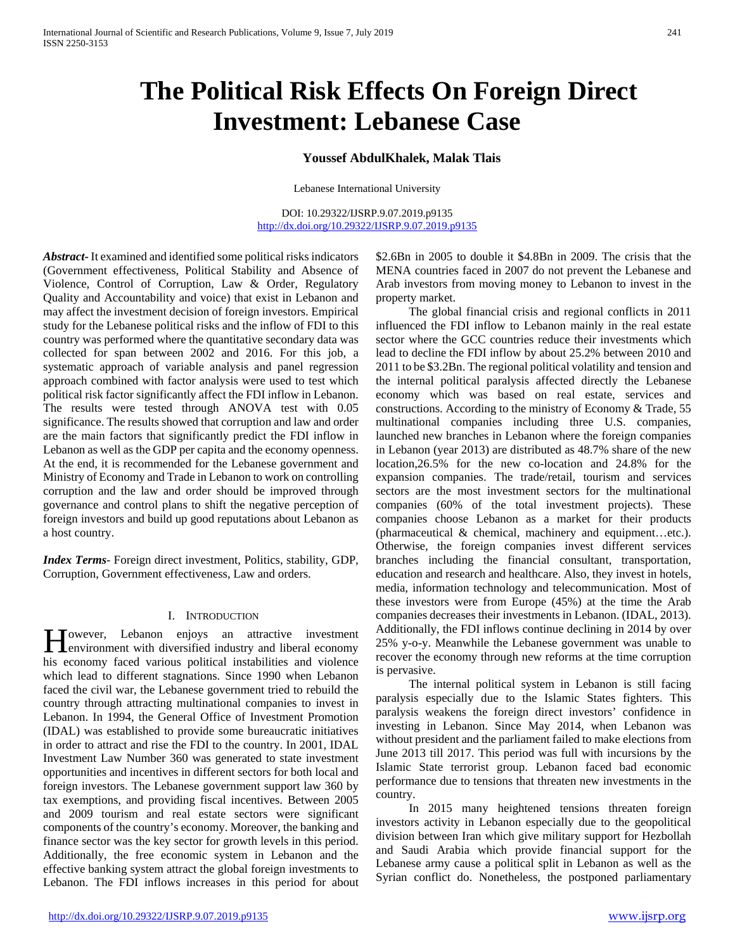# **The Political Risk Effects On Foreign Direct Investment: Lebanese Case**

#### **Youssef AbdulKhalek, Malak Tlais**

Lebanese International University

DOI: 10.29322/IJSRP.9.07.2019.p9135 <http://dx.doi.org/10.29322/IJSRP.9.07.2019.p9135>

*Abstract***-** It examined and identified some political risks indicators (Government effectiveness, Political Stability and Absence of Violence, Control of Corruption, Law & Order, Regulatory Quality and Accountability and voice) that exist in Lebanon and may affect the investment decision of foreign investors. Empirical study for the Lebanese political risks and the inflow of FDI to this country was performed where the quantitative secondary data was collected for span between 2002 and 2016. For this job, a systematic approach of variable analysis and panel regression approach combined with factor analysis were used to test which political risk factor significantly affect the FDI inflow in Lebanon. The results were tested through ANOVA test with 0.05 significance. The results showed that corruption and law and order are the main factors that significantly predict the FDI inflow in Lebanon as well as the GDP per capita and the economy openness. At the end, it is recommended for the Lebanese government and Ministry of Economy and Trade in Lebanon to work on controlling corruption and the law and order should be improved through governance and control plans to shift the negative perception of foreign investors and build up good reputations about Lebanon as a host country.

*Index Terms*- Foreign direct investment, Politics, stability, GDP, Corruption, Government effectiveness, Law and orders.

#### I. INTRODUCTION

Towever, Lebanon enjoys an attractive investment However, Lebanon enjoys an attractive investment<br>
lenvironment with diversified industry and liberal economy his economy faced various political instabilities and violence which lead to different stagnations. Since 1990 when Lebanon faced the civil war, the Lebanese government tried to rebuild the country through attracting multinational companies to invest in Lebanon. In 1994, the General Office of Investment Promotion (IDAL) was established to provide some bureaucratic initiatives in order to attract and rise the FDI to the country. In 2001, IDAL Investment Law Number 360 was generated to state investment opportunities and incentives in different sectors for both local and foreign investors. The Lebanese government support law 360 by tax exemptions, and providing fiscal incentives. Between 2005 and 2009 tourism and real estate sectors were significant components of the country's economy. Moreover, the banking and finance sector was the key sector for growth levels in this period. Additionally, the free economic system in Lebanon and the effective banking system attract the global foreign investments to Lebanon. The FDI inflows increases in this period for about

\$2.6Bn in 2005 to double it \$4.8Bn in 2009. The crisis that the MENA countries faced in 2007 do not prevent the Lebanese and Arab investors from moving money to Lebanon to invest in the property market.

 The global financial crisis and regional conflicts in 2011 influenced the FDI inflow to Lebanon mainly in the real estate sector where the GCC countries reduce their investments which lead to decline the FDI inflow by about 25.2% between 2010 and 2011 to be \$3.2Bn. The regional political volatility and tension and the internal political paralysis affected directly the Lebanese economy which was based on real estate, services and constructions. According to the ministry of Economy & Trade, 55 multinational companies including three U.S. companies, launched new branches in Lebanon where the foreign companies in Lebanon (year 2013) are distributed as 48.7% share of the new location,26.5% for the new co-location and 24.8% for the expansion companies. The trade/retail, tourism and services sectors are the most investment sectors for the multinational companies (60% of the total investment projects). These companies choose Lebanon as a market for their products (pharmaceutical & chemical, machinery and equipment…etc.). Otherwise, the foreign companies invest different services branches including the financial consultant, transportation, education and research and healthcare. Also, they invest in hotels, media, information technology and telecommunication. Most of these investors were from Europe (45%) at the time the Arab companies decreases their investments in Lebanon. (IDAL, 2013). Additionally, the FDI inflows continue declining in 2014 by over 25% y-o-y. Meanwhile the Lebanese government was unable to recover the economy through new reforms at the time corruption is pervasive.

 The internal political system in Lebanon is still facing paralysis especially due to the Islamic States fighters. This paralysis weakens the foreign direct investors' confidence in investing in Lebanon. Since May 2014, when Lebanon was without president and the parliament failed to make elections from June 2013 till 2017. This period was full with incursions by the Islamic State terrorist group. Lebanon faced bad economic performance due to tensions that threaten new investments in the country.

 In 2015 many heightened tensions threaten foreign investors activity in Lebanon especially due to the geopolitical division between Iran which give military support for Hezbollah and Saudi Arabia which provide financial support for the Lebanese army cause a political split in Lebanon as well as the Syrian conflict do. Nonetheless, the postponed parliamentary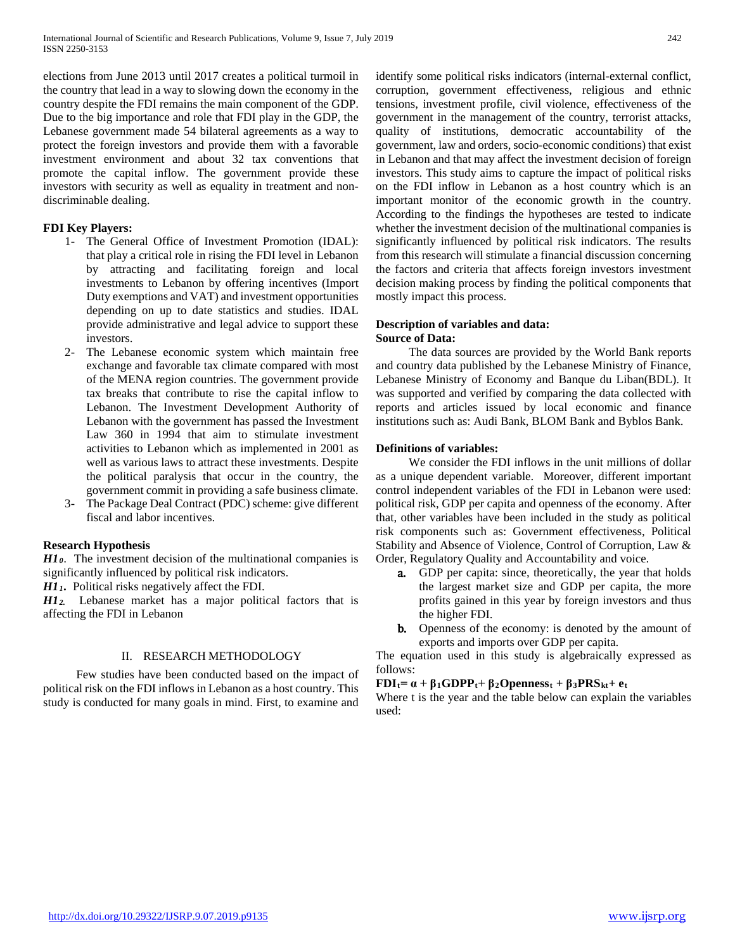elections from June 2013 until 2017 creates a political turmoil in the country that lead in a way to slowing down the economy in the country despite the FDI remains the main component of the GDP. Due to the big importance and role that FDI play in the GDP, the Lebanese government made 54 bilateral agreements as a way to protect the foreign investors and provide them with a favorable investment environment and about 32 tax conventions that promote the capital inflow. The government provide these investors with security as well as equality in treatment and nondiscriminable dealing.

#### **FDI Key Players:**

- 1- The General Office of Investment Promotion (IDAL): that play a critical role in rising the FDI level in Lebanon by attracting and facilitating foreign and local investments to Lebanon by offering incentives (Import Duty exemptions and VAT) and investment opportunities depending on up to date statistics and studies. IDAL provide administrative and legal advice to support these investors.
- 2- The Lebanese economic system which maintain free exchange and favorable tax climate compared with most of the MENA region countries. The government provide tax breaks that contribute to rise the capital inflow to Lebanon. The Investment Development Authority of Lebanon with the government has passed the Investment Law 360 in 1994 that aim to stimulate investment activities to Lebanon which as implemented in 2001 as well as various laws to attract these investments. Despite the political paralysis that occur in the country, the government commit in providing a safe business climate.
- 3- The Package Deal Contract (PDC) scheme: give different fiscal and labor incentives.

#### **Research Hypothesis**

*H10*. The investment decision of the multinational companies is significantly influenced by political risk indicators.

*H11.* Political risks negatively affect the FDI.

*H12.* Lebanese market has a major political factors that is affecting the FDI in Lebanon

#### II. RESEARCH METHODOLOGY

 Few studies have been conducted based on the impact of political risk on the FDI inflows in Lebanon as a host country. This study is conducted for many goals in mind. First, to examine and

identify some political risks indicators (internal-external conflict, corruption, government effectiveness, religious and ethnic tensions, investment profile, civil violence, effectiveness of the government in the management of the country, terrorist attacks, quality of institutions, democratic accountability of the government, law and orders, socio-economic conditions) that exist in Lebanon and that may affect the investment decision of foreign investors. This study aims to capture the impact of political risks on the FDI inflow in Lebanon as a host country which is an important monitor of the economic growth in the country. According to the findings the hypotheses are tested to indicate whether the investment decision of the multinational companies is significantly influenced by political risk indicators. The results from this research will stimulate a financial discussion concerning the factors and criteria that affects foreign investors investment decision making process by finding the political components that mostly impact this process.

#### **Description of variables and data: Source of Data:**

 The data sources are provided by the World Bank reports and country data published by the Lebanese Ministry of Finance, Lebanese Ministry of Economy and Banque du Liban(BDL). It was supported and verified by comparing the data collected with reports and articles issued by local economic and finance institutions such as: Audi Bank, BLOM Bank and Byblos Bank.

#### **Definitions of variables:**

 We consider the FDI inflows in the unit millions of dollar as a unique dependent variable. Moreover, different important control independent variables of the FDI in Lebanon were used: political risk, GDP per capita and openness of the economy. After that, other variables have been included in the study as political risk components such as: Government effectiveness, Political Stability and Absence of Violence, Control of Corruption, Law & Order, Regulatory Quality and Accountability and voice.

- a. GDP per capita: since, theoretically, the year that holds the largest market size and GDP per capita, the more profits gained in this year by foreign investors and thus the higher FDI.
- **b.** Openness of the economy: is denoted by the amount of exports and imports over GDP per capita.

The equation used in this study is algebraically expressed as follows:

#### $FDI_t = \alpha + \beta_1 GDPP_t + \beta_2 Openness_t + \beta_3 PRS_{kt} + e_t$

Where t is the year and the table below can explain the variables used: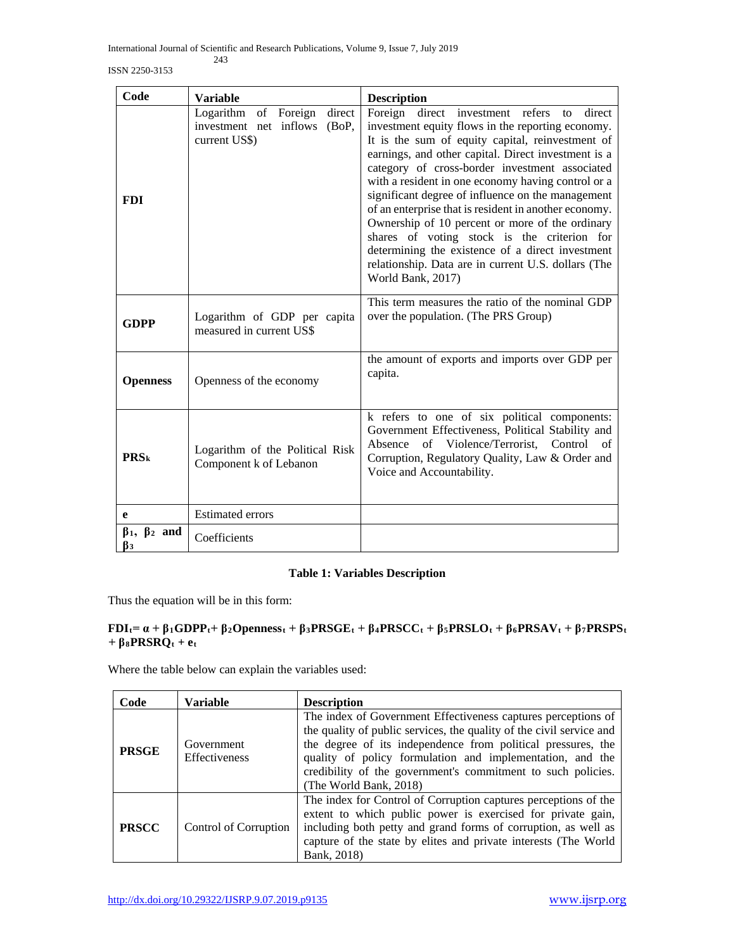International Journal of Scientific and Research Publications, Volume 9, Issue 7, July 2019 243

ISSN 2250-3153

| Code                                   | <b>Variable</b>                                                                    | <b>Description</b>                                                                                                                                                                                                                                                                                                                                                                                                                                                                                                                                                                                                                                                                   |  |  |  |  |  |
|----------------------------------------|------------------------------------------------------------------------------------|--------------------------------------------------------------------------------------------------------------------------------------------------------------------------------------------------------------------------------------------------------------------------------------------------------------------------------------------------------------------------------------------------------------------------------------------------------------------------------------------------------------------------------------------------------------------------------------------------------------------------------------------------------------------------------------|--|--|--|--|--|
| <b>FDI</b>                             | Logarithm of Foreign<br>direct<br>investment net inflows<br>(BoP,<br>current US\$) | Foreign direct investment refers<br>direct<br>$\overline{t}$<br>investment equity flows in the reporting economy.<br>It is the sum of equity capital, reinvestment of<br>earnings, and other capital. Direct investment is a<br>category of cross-border investment associated<br>with a resident in one economy having control or a<br>significant degree of influence on the management<br>of an enterprise that is resident in another economy.<br>Ownership of 10 percent or more of the ordinary<br>shares of voting stock is the criterion for<br>determining the existence of a direct investment<br>relationship. Data are in current U.S. dollars (The<br>World Bank, 2017) |  |  |  |  |  |
| <b>GDPP</b>                            | Logarithm of GDP per capita<br>measured in current US\$                            | This term measures the ratio of the nominal GDP<br>over the population. (The PRS Group)                                                                                                                                                                                                                                                                                                                                                                                                                                                                                                                                                                                              |  |  |  |  |  |
| <b>Openness</b>                        | Openness of the economy                                                            | the amount of exports and imports over GDP per<br>capita.                                                                                                                                                                                                                                                                                                                                                                                                                                                                                                                                                                                                                            |  |  |  |  |  |
| <b>PRS</b> k                           | Logarithm of the Political Risk<br>Component k of Lebanon                          | k refers to one of six political components:<br>Government Effectiveness, Political Stability and<br>of Violence/Terrorist, Control of<br>Absence<br>Corruption, Regulatory Quality, Law & Order and<br>Voice and Accountability.                                                                                                                                                                                                                                                                                                                                                                                                                                                    |  |  |  |  |  |
| e                                      | <b>Estimated errors</b>                                                            |                                                                                                                                                                                                                                                                                                                                                                                                                                                                                                                                                                                                                                                                                      |  |  |  |  |  |
| $\beta_1$ , $\beta_2$ and<br>$\beta_3$ | Coefficients                                                                       |                                                                                                                                                                                                                                                                                                                                                                                                                                                                                                                                                                                                                                                                                      |  |  |  |  |  |

## **Table 1: Variables Description**

Thus the equation will be in this form:

# **FDIt= α + β1GDPPt+ β2Opennesst + β3PRSGEt + β4PRSCCt + β5PRSLOt + β6PRSAVt + β7PRSPSt**   $+ \beta_8$ **PRSRQ**t + et

Where the table below can explain the variables used:

| Code         | <b>Variable</b>                    | <b>Description</b>                                                                                                                                                                                                                                                                                                                                           |
|--------------|------------------------------------|--------------------------------------------------------------------------------------------------------------------------------------------------------------------------------------------------------------------------------------------------------------------------------------------------------------------------------------------------------------|
| <b>PRSGE</b> | Government<br><b>Effectiveness</b> | The index of Government Effectiveness captures perceptions of<br>the quality of public services, the quality of the civil service and<br>the degree of its independence from political pressures, the<br>quality of policy formulation and implementation, and the<br>credibility of the government's commitment to such policies.<br>(The World Bank, 2018) |
| <b>PRSCC</b> | Control of Corruption              | The index for Control of Corruption captures perceptions of the<br>extent to which public power is exercised for private gain,<br>including both petty and grand forms of corruption, as well as<br>capture of the state by elites and private interests (The World<br>Bank, 2018)                                                                           |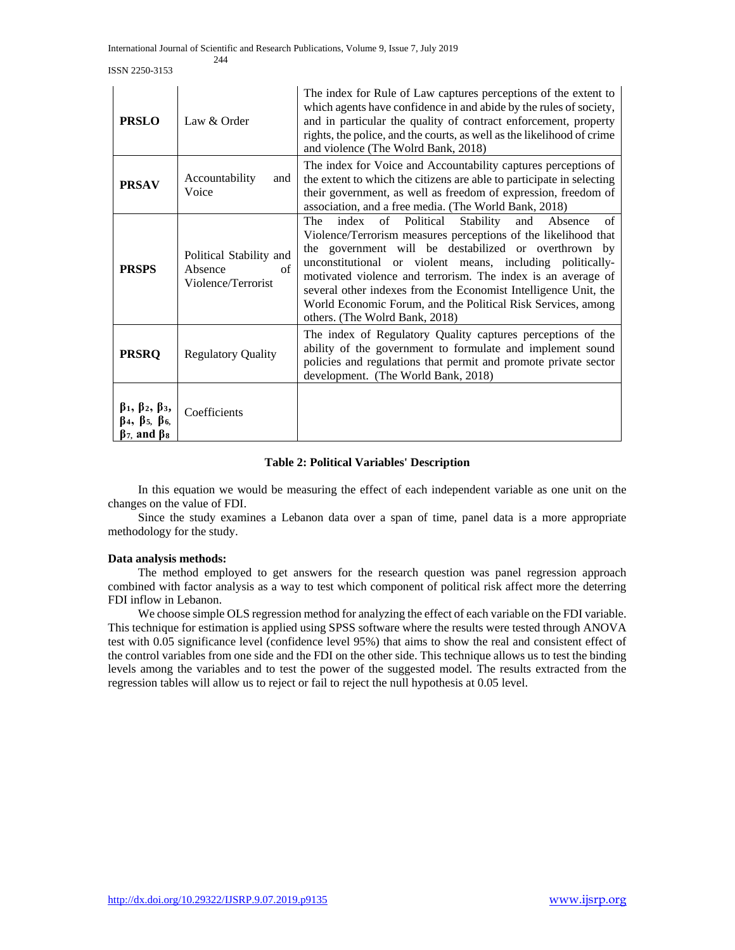ISSN 2250-3153

| <b>PRSLO</b>                                                                                                                | Law & Order                                                    | The index for Rule of Law captures perceptions of the extent to<br>which agents have confidence in and abide by the rules of society,<br>and in particular the quality of contract enforcement, property<br>rights, the police, and the courts, as well as the likelihood of crime<br>and violence (The Wolrd Bank, 2018)                                                                                                                                                                        |
|-----------------------------------------------------------------------------------------------------------------------------|----------------------------------------------------------------|--------------------------------------------------------------------------------------------------------------------------------------------------------------------------------------------------------------------------------------------------------------------------------------------------------------------------------------------------------------------------------------------------------------------------------------------------------------------------------------------------|
| <b>PRSAV</b>                                                                                                                | Accountability<br>and<br>Voice                                 | The index for Voice and Accountability captures perceptions of<br>the extent to which the citizens are able to participate in selecting<br>their government, as well as freedom of expression, freedom of<br>association, and a free media. (The World Bank, 2018)                                                                                                                                                                                                                               |
| <b>PRSPS</b>                                                                                                                | Political Stability and<br>Absence<br>of<br>Violence/Terrorist | index<br>Political<br>Stability<br>The<br>of<br>of<br>and<br>Absence<br>Violence/Terrorism measures perceptions of the likelihood that<br>the government will be destabilized or overthrown by<br>unconstitutional or violent means, including politically-<br>motivated violence and terrorism. The index is an average of<br>several other indexes from the Economist Intelligence Unit, the<br>World Economic Forum, and the Political Risk Services, among<br>others. (The Wolrd Bank, 2018) |
| <b>PRSRQ</b>                                                                                                                | <b>Regulatory Quality</b>                                      | The index of Regulatory Quality captures perceptions of the<br>ability of the government to formulate and implement sound<br>policies and regulations that permit and promote private sector<br>development. (The World Bank, 2018)                                                                                                                                                                                                                                                              |
| $\beta_1$ , $\beta_2$ , $\beta_3$ ,<br>$\beta_4$ , $\beta_5$ , $\beta_6$<br>$\beta$ <sub>7</sub> , and $\beta$ <sub>8</sub> | Coefficients                                                   |                                                                                                                                                                                                                                                                                                                                                                                                                                                                                                  |

#### **Table 2: Political Variables' Description**

 In this equation we would be measuring the effect of each independent variable as one unit on the changes on the value of FDI.

 Since the study examines a Lebanon data over a span of time, panel data is a more appropriate methodology for the study.

#### **Data analysis methods:**

 The method employed to get answers for the research question was panel regression approach combined with factor analysis as a way to test which component of political risk affect more the deterring FDI inflow in Lebanon.

 We choose simple OLS regression method for analyzing the effect of each variable on the FDI variable. This technique for estimation is applied using SPSS software where the results were tested through ANOVA test with 0.05 significance level (confidence level 95%) that aims to show the real and consistent effect of the control variables from one side and the FDI on the other side. This technique allows us to test the binding levels among the variables and to test the power of the suggested model. The results extracted from the regression tables will allow us to reject or fail to reject the null hypothesis at 0.05 level.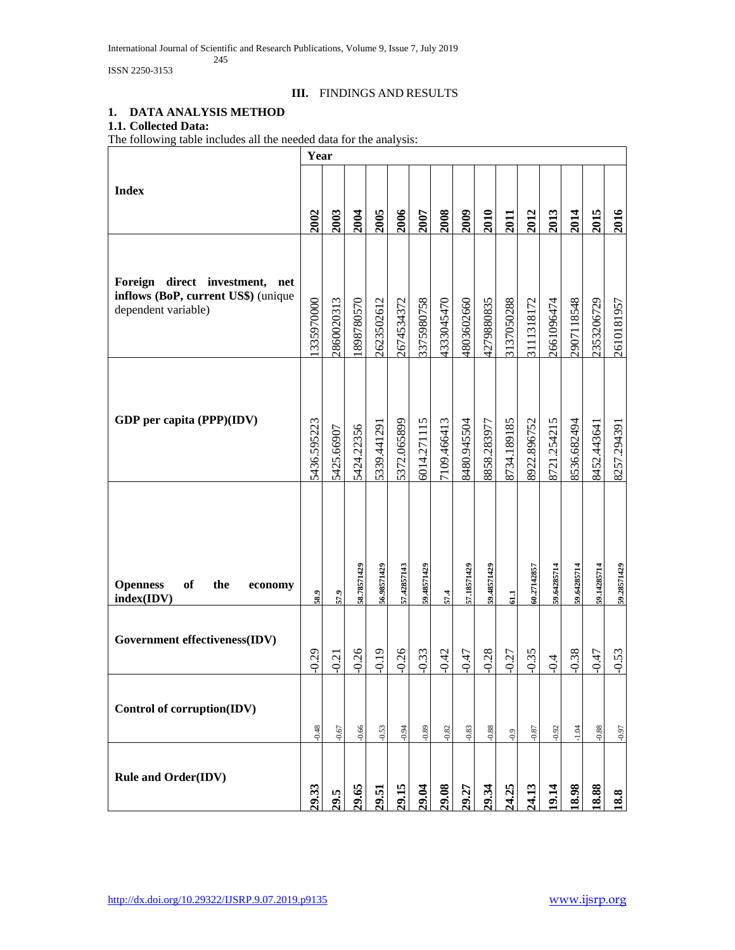International Journal of Scientific and Research Publications, Volume 9, Issue 7, July 2019 245

ISSN 2250-3153

# **III.** FINDINGS AND RESULTS

# **1. DATA ANALYSIS METHOD**

# **1.1. Collected Data:**

The following table includes all the needed data for the analysis:

|                                                                                                    | Year        |            |             |             |             |             |             |             |             |             |             |             |             |             |             |
|----------------------------------------------------------------------------------------------------|-------------|------------|-------------|-------------|-------------|-------------|-------------|-------------|-------------|-------------|-------------|-------------|-------------|-------------|-------------|
| <b>Index</b>                                                                                       | 2002        | 2003       | 2004        | 2005        | 2006        | 2007        | 2008        | 2009        | 2010        | 2011        | 2012        | 2013        | 2014        | 2015        | 2016        |
| direct investment,<br>Foreign<br>net<br>inflows (BoP, current US\$) (unique<br>dependent variable) | 335970000   | 860020313  | 898780570   | :623502612  | 2674534372  | 3375980758  | 1333045470  | 1803602660  | 1279880835  | 3137050288  | 3111318172  | 2661096474  | 2907118548  | 2353206729  | 2610181957  |
| GDP per capita (PPP)(IDV)                                                                          | 5436.595223 | 5425.66907 | 5424.22356  | 5339.441291 | 5372.065899 | 6014.271115 | 7109.466413 | 8480.945504 | 8858.283977 | 8734.189185 | 8922.896752 | 8721.254215 | 8536.682494 | 8452.443641 | 8257.29439  |
| of<br><b>Openness</b><br>the<br>economy<br>index(IDV)                                              | 58.9        | 57.9       | 58.78571429 | 56.98571429 | 57.42857143 | 59.48571429 | 57.4        | 57.18571429 | 59.48571429 | 61.1        | 60.27142857 | 59.64285714 | 59.64285714 | 59.14285714 | 59.28571429 |
| Government effectiveness(IDV)                                                                      | $-0.29$     | $-0.21$    | $-0.26$     | $-0.19$     | $-0.26$     | $-0.33$     | $-0.42$     | $-0.47$     | $-0.28$     | $-0.27$     | $-0.35$     | $-0.4$      | $-0.38$     | $-0.47$     | $-0.53$     |
| Control of corruption(IDV)                                                                         | $-0.48$     | $-0.67$    | $-0.66$     | $-0.53$     | $-0.94$     | $-0.89$     | $-0.82$     | 0.83        | $-0.88$     | 6.0         | $-0.87$     | 0.92        | $-1.04$     | $-0.88$     | $-0.97$     |
| <b>Rule and Order(IDV)</b>                                                                         | 29.33       | 29.5       | 9.65        | 29.51       | 29.15       | 29.04       | 29.08       | 29.27       | 29.34       | 24.25       | 24.13       | 9.14        | 8.98        | 8.88        | 18.8        |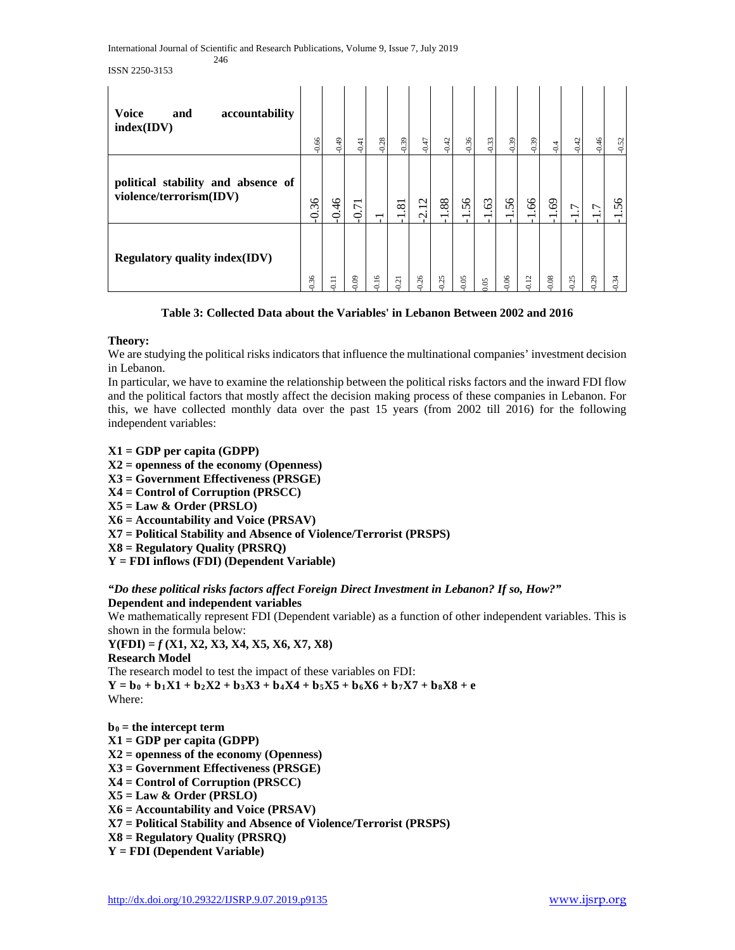ISSN 2250-3153

| <b>Voice</b><br>accountability<br>and<br>index(IDV)           | $-0.66$ | $-0.49$ | $-0.41$                         | $-0.28$      | $-0.39$                                       | $-0.47$                                               | $-0.42$                        | $-0.36$ | $-0.33$ | $-0.39$         | $-0.39$ | $-0.4$                         | $-0.42$ | $-0.46$ | $-0.52$                        |
|---------------------------------------------------------------|---------|---------|---------------------------------|--------------|-----------------------------------------------|-------------------------------------------------------|--------------------------------|---------|---------|-----------------|---------|--------------------------------|---------|---------|--------------------------------|
| political stability and absence of<br>violence/terrorism(IDV) | 0.36    | 0.46    | $\overline{\phantom{0}}$<br>0.7 |              | $\overline{81}$                               | $\mathbf{\sim}$<br>$\overline{\phantom{0}}$<br>$\sim$ | 88<br>$\overline{\phantom{0}}$ | 56      | 63      | 56              | 99.     | 69<br>$\overline{\phantom{0}}$ | г.      | ٢.      | 56<br>$\overline{\phantom{0}}$ |
| <b>Regulatory quality index(IDV)</b>                          | 36      | 0.11    | $\overline{0}$                  | $\circ$<br>÷ | $\overline{\phantom{0}}$<br>$\mathcal{L}_{1}$ | 26                                                    | 0.25                           | 05      | 0.05    | $\overline{0}6$ | 0.12    | 08<br>0                        | 25<br>0 | 29<br>Ö | 0.34                           |

## **Table 3: Collected Data about the Variables' in Lebanon Between 2002 and 2016**

#### **Theory:**

We are studying the political risks indicators that influence the multinational companies' investment decision in Lebanon.

In particular, we have to examine the relationship between the political risks factors and the inward FDI flow and the political factors that mostly affect the decision making process of these companies in Lebanon. For this, we have collected monthly data over the past 15 years (from 2002 till 2016) for the following independent variables:

# **X1 = GDP per capita (GDPP)**

- **X2 = openness of the economy (Openness)**
- **X3 = Government Effectiveness (PRSGE)**
- **X4 = Control of Corruption (PRSCC)**
- **X5 = Law & Order (PRSLO)**
- **X6 = Accountability and Voice (PRSAV)**
- **X7 = Political Stability and Absence of Violence/Terrorist (PRSPS)**
- **X8 = Regulatory Quality (PRSRQ)**
- **Y = FDI inflows (FDI) (Dependent Variable)**

*"Do these political risks factors affect Foreign Direct Investment in Lebanon? If so, How?"*

#### **Dependent and independent variables**

We mathematically represent FDI (Dependent variable) as a function of other independent variables. This is shown in the formula below:

**Y(FDI) =** *f* **(X1, X2, X3, X4, X5, X6, X7, X8)**

**Research Model**

The research model to test the impact of these variables on FDI:  $Y = b_0 + b_1X1 + b_2X2 + b_3X3 + b_4X4 + b_5X5 + b_6X6 + b_7X7 + b_8X8 + e$ Where:

**b0 = the intercept term X1 = GDP per capita (GDPP) X2 = openness of the economy (Openness) X3 = Government Effectiveness (PRSGE) X4 = Control of Corruption (PRSCC) X5 = Law & Order (PRSLO) X6 = Accountability and Voice (PRSAV) X7 = Political Stability and Absence of Violence/Terrorist (PRSPS) X8 = Regulatory Quality (PRSRQ) Y = FDI (Dependent Variable)**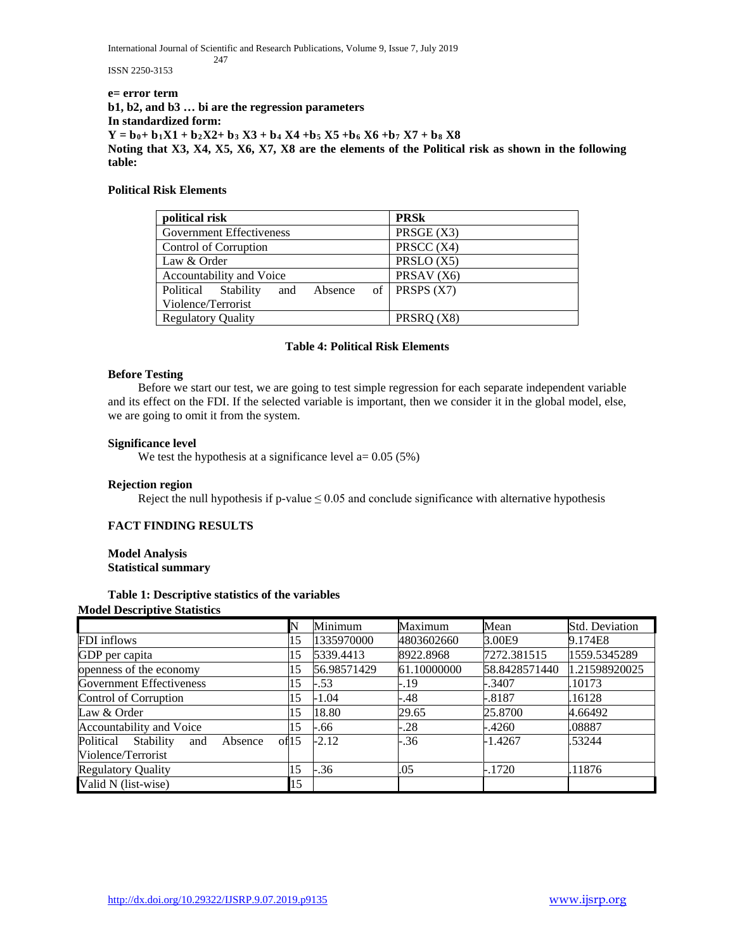International Journal of Scientific and Research Publications, Volume 9, Issue 7, July 2019

247

ISSN 2250-3153

**e= error term b1, b2, and b3 … bi are the regression parameters In standardized form:**  $Y = b_0 + b_1X1 + b_2X2 + b_3X3 + b_4X4 + b_5X5 + b_6X6 + b_7X7 + b_8X8$ **Noting that X3, X4, X5, X6, X7, X8 are the elements of the Political risk as shown in the following table:**

#### **Political Risk Elements**

| political risk                     | <b>PRSk</b>           |  |  |  |  |
|------------------------------------|-----------------------|--|--|--|--|
| <b>Government Effectiveness</b>    | PRSGE(X3)             |  |  |  |  |
| Control of Corruption              | PRSCC (X4)            |  |  |  |  |
| Law & Order                        | PRSLO (X5)            |  |  |  |  |
| Accountability and Voice           | PRSAV <sub>(X6)</sub> |  |  |  |  |
| Political Stability<br>and Absence | of PRSPS $(X7)$       |  |  |  |  |
| Violence/Terrorist                 |                       |  |  |  |  |
| <b>Regulatory Quality</b>          | PRSRQ (X8)            |  |  |  |  |

#### **Table 4: Political Risk Elements**

#### **Before Testing**

 Before we start our test, we are going to test simple regression for each separate independent variable and its effect on the FDI. If the selected variable is important, then we consider it in the global model, else, we are going to omit it from the system.

#### **Significance level**

We test the hypothesis at a significance level  $a = 0.05$  (5%)

#### **Rejection region**

Reject the null hypothesis if p-value  $\leq 0.05$  and conclude significance with alternative hypothesis

#### **FACT FINDING RESULTS**

#### **Model Analysis Statistical summary**

#### **Table 1: Descriptive statistics of the variables Model Descriptive Statistics**

|                                          | N     | Minimum     | Maximum     | Mean          | <b>Std. Deviation</b> |
|------------------------------------------|-------|-------------|-------------|---------------|-----------------------|
| FDI inflows                              | 15    | 1335970000  | 4803602660  | 3.00E9        | 9.174E8               |
| GDP per capita                           | 15    | 5339.4413   | 8922.8968   | 7272.381515   | 1559.5345289          |
| openness of the economy                  | 15    | 56.98571429 | 61.10000000 | 58.8428571440 | 1.21598920025         |
| Government Effectiveness                 | 15    | $-.53$      | -.19        | $-.3407$      | .10173                |
| Control of Corruption                    | 15    | $-1.04$     | -.48        | $-.8187$      | .16128                |
| Law & Order                              | 15    | 18.80       | 29.65       | 25.8700       | 4.66492               |
| Accountability and Voice                 | 15    | $-.66$      | $-.28$      | $-4260$       | .08887                |
| Political<br>Stability<br>Absence<br>and | of 15 | $-2.12$     | $-.36$      | $-1.4267$     | .53244                |
| Violence/Terrorist                       |       |             |             |               |                       |
| <b>Regulatory Quality</b>                | 15    | $-.36$      | .05         | $-.1720$      | .11876                |
| Valid N (list-wise)                      | 15    |             |             |               |                       |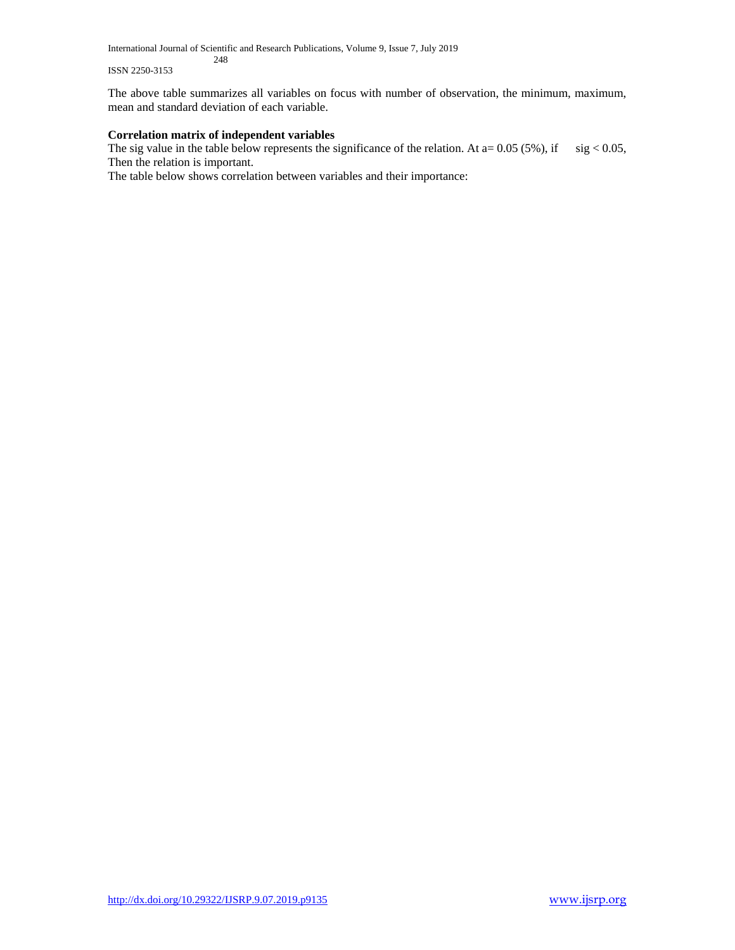International Journal of Scientific and Research Publications, Volume 9, Issue 7, July 2019 248

#### ISSN 2250-3153

The above table summarizes all variables on focus with number of observation, the minimum, maximum, mean and standard deviation of each variable.

#### **Correlation matrix of independent variables**

The sig value in the table below represents the significance of the relation. At  $a= 0.05$  (5%), if sig < 0.05, Then the relation is important.

The table below shows correlation between variables and their importance: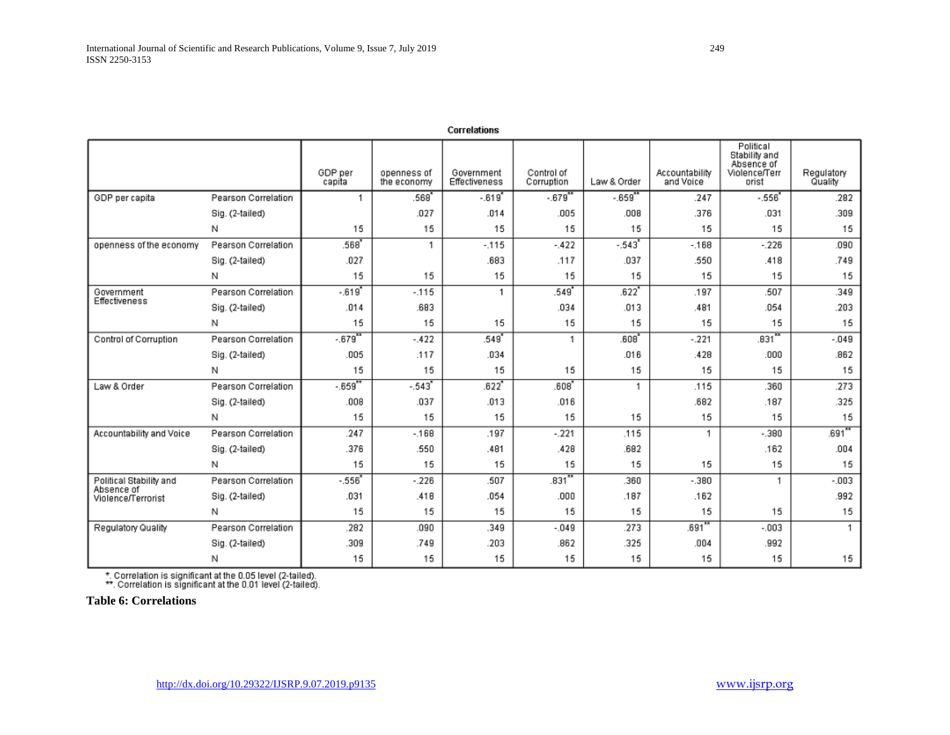|                                  |                     | GDP per<br>capita | openness of<br>the economy | Government<br>Effectiveness | Control of<br>Corruption | Law & Order         | Accountability<br>and Voice | Political<br>Stability and<br>Absence of<br>Violence/Terr<br>orist | Regulatory<br>Quality |
|----------------------------------|---------------------|-------------------|----------------------------|-----------------------------|--------------------------|---------------------|-----------------------------|--------------------------------------------------------------------|-----------------------|
| GDP per capita                   | Pearson Correlation | 1.                | .568                       | $-619$                      | $-679^{38}$              | $-659^{**}$         | .247                        | $-.556$                                                            | .282                  |
|                                  | Sig. (2-tailed)     |                   | .027                       | .014                        | .005                     | .008                | .376                        | .031                                                               | .309                  |
|                                  | Ν                   | 15                | 15                         | 15                          | 15                       | 15                  | 15                          | 15                                                                 | 15                    |
| openness of the economy          | Pearson Correlation | 568               | 1                          | $-115$                      | $-422$                   | $-543$ <sup>*</sup> | $-.168$                     | $-.226$                                                            | .090                  |
|                                  | Sig. (2-tailed)     | .027              |                            | .683                        | .117                     | .037                | .550                        | .418                                                               | .749                  |
|                                  | Ν                   | 15                | 15                         | 15                          | 15                       | 15                  | 15                          | 15                                                                 | 15                    |
| Government                       | Pearson Correlation | $-0.619'$         | $-115$                     | 1                           | .549                     | .622                | .197                        | .507                                                               | 349                   |
| Effectiveness                    | Sig. (2-tailed)     | .014              | .683                       |                             | .034                     | .013                | .481                        | .054                                                               | .203                  |
|                                  | Ν                   | 15                | 15                         | 15                          | 15                       | 15                  | 15                          | 15                                                                 | 15                    |
| Control of Corruption            | Pearson Correlation | $-0.679$          | $-.422$                    | .549                        | 1                        | .608                | $-.221$                     | $.831$ <sup>xx</sup>                                               | $-049$                |
|                                  | Sig. (2-tailed)     | .005              | .117                       | .034                        |                          | .016                | .428                        | .000                                                               | .862                  |
|                                  | Ν                   | 15                | 15                         | 15                          | 15                       | 15                  | 15                          | 15                                                                 | 15                    |
| Law & Order                      | Pearson Correlation | $-0.659$          | $-.543"$                   | $.622$ <sup>*</sup>         | .608'                    | 1                   | .115                        | .360                                                               | .273                  |
|                                  | Sig. (2-tailed)     | .008              | .037                       | .013                        | .016                     |                     | .682                        | .187                                                               | .325                  |
|                                  | Ν                   | 15                | 15                         | 15                          | 15                       | 15                  | 15                          | 15                                                                 | 15                    |
| Accountability and Voice         | Pearson Correlation | .247              | $-168$                     | .197                        | $-221$                   | .115                | 1                           | $-.380$                                                            | $.691***$             |
|                                  | Sig. (2-tailed)     | 376               | .550                       | .481                        | .428                     | .682                |                             | .162                                                               | .004                  |
|                                  | Ν                   | 15                | 15                         | 15                          | 15                       | 15                  | 15                          | 15                                                                 | 15                    |
| Political Stability and          | Pearson Correlation | $-556$            | $-.226$                    | .507                        | $.831$ <sup>xx</sup>     | .360                | $-.380$                     | $\mathbf{1}$                                                       | $-003$                |
| Absence of<br>Violence/Terrorist | Sig. (2-tailed)     | .031              | .418                       | .054                        | .000                     | .187                | .162                        |                                                                    | .992                  |
|                                  | N                   | 15                | 15                         | 15                          | 15                       | 15                  | 15                          | 15                                                                 | 15                    |
| Regulatory Quality               | Pearson Correlation | .282              | .090                       | .349                        | $-049$                   | .273                | .691                        | $-0.003$                                                           | 1                     |
|                                  | Sig. (2-tailed)     | .309              | .749                       | .203                        | .862                     | .325                | .004                        | .992                                                               |                       |
|                                  | N                   | 15                | 15                         | 15                          | 15                       | 15                  | 15                          | 15                                                                 | 15                    |

Correlations

\*. Correlation is significant at the 0.05 level (2-tailed).<br>\*\*. Correlation is significant at the 0.01 level (2-tailed).

**Table 6: Correlations**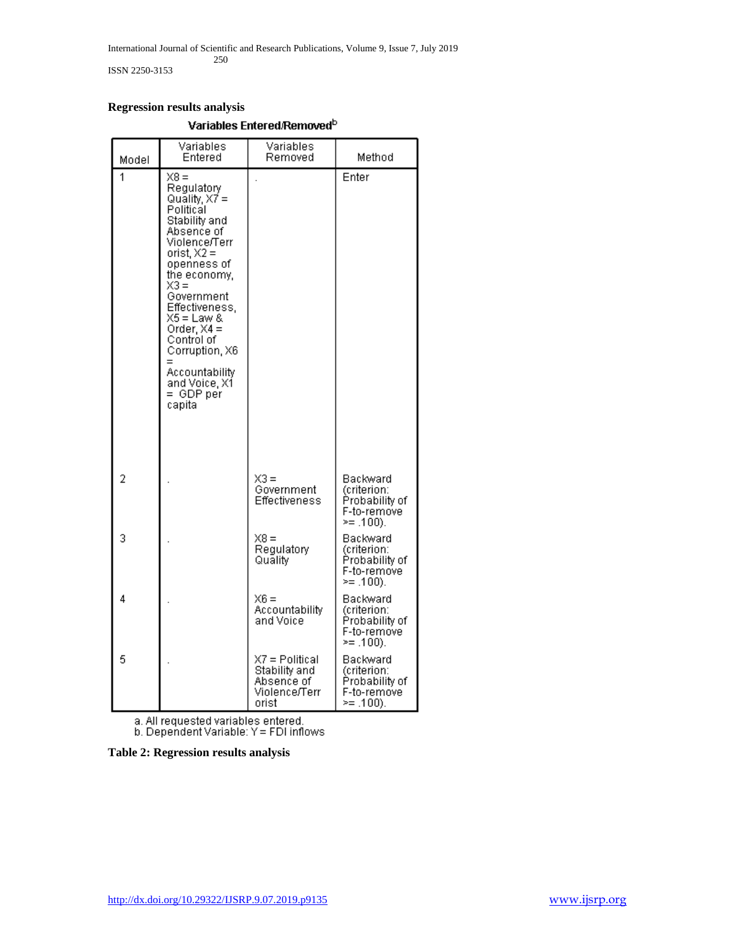ISSN 2250-3153

#### **Regression results analysis**

| Model          | Variables<br>Entered                                                                                                                                                                                                                                                                                                | Variables<br>Removed                                                    | Method                                                                    |
|----------------|---------------------------------------------------------------------------------------------------------------------------------------------------------------------------------------------------------------------------------------------------------------------------------------------------------------------|-------------------------------------------------------------------------|---------------------------------------------------------------------------|
| 1              | X8 =<br>Regulatory<br>Quality, $X7 =$<br>Political<br>Stability and<br>Absence of<br>Violence/Terr<br>orist, $X2 =$<br>openness of<br>the economy,<br>X3 =<br>Government<br>Effectiveness.<br>X5 = Law &<br>Order, $X4 =$<br>Control of<br>Corruption, X6<br>Accountability<br>and Voice, X1<br>= GDP per<br>capita |                                                                         | Enter                                                                     |
| $\overline{2}$ |                                                                                                                                                                                                                                                                                                                     | X3 =<br>Government<br>Effectiveness                                     | Backward<br>(criterion:<br>Probability of<br>F-to-remove<br>$\geq$ .100). |
| 3              |                                                                                                                                                                                                                                                                                                                     | $X8 =$<br>Regulatory<br>Quality                                         | Backward<br>(criterion:<br>Probability of<br>F-to-remove<br>>= .100).     |
| 4              |                                                                                                                                                                                                                                                                                                                     | X6 =<br>Accountability<br>and Voice                                     | Backward<br>(criterion:<br>Probability of<br>F-to-remove<br>>= .100).     |
| 5              |                                                                                                                                                                                                                                                                                                                     | X7 = Political<br>Stability and<br>Absence of<br>Violence/Terr<br>orist | Backward<br>(criterion:<br>Probability of<br>F-to-remove<br>>= .100).     |

#### Variables Entered/Removed<sup>b</sup>

a. All requested variables entered.<br>b. Dependent Variable:  $Y = FDI$  inflows

**Table 2: Regression results analysis**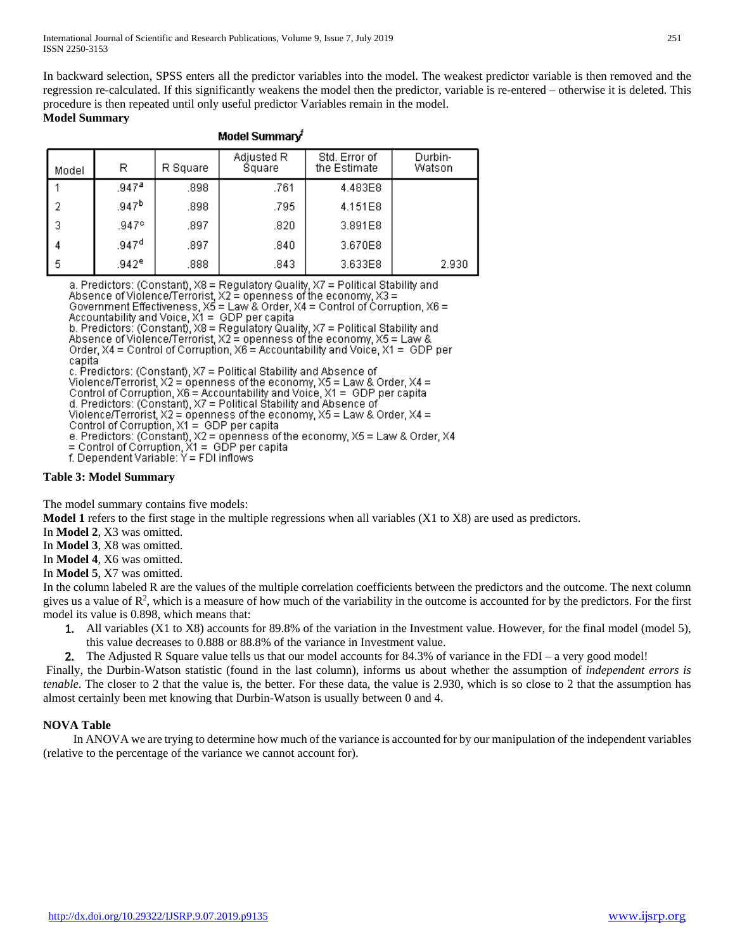In backward selection, SPSS enters all the predictor variables into the model. The weakest predictor variable is then removed and the regression re-calculated. If this significantly weakens the model then the predictor, variable is re-entered – otherwise it is deleted. This procedure is then repeated until only useful predictor Variables remain in the model.

# **Model Summary**

| Model Summary <sup>t</sup> |                   |          |                      |                               |                   |  |  |  |  |  |  |  |
|----------------------------|-------------------|----------|----------------------|-------------------------------|-------------------|--|--|--|--|--|--|--|
| Model                      | R                 | R Square | Adjusted R<br>Square | Std. Error of<br>the Estimate | Durbin-<br>Watson |  |  |  |  |  |  |  |
|                            | .947 <sup>a</sup> | .898     | .761                 | 4.483E8                       |                   |  |  |  |  |  |  |  |
| 2                          | .947 <sup>b</sup> | .898     | .795                 | 4.151E8                       |                   |  |  |  |  |  |  |  |
| 3                          | .947 <sup>°</sup> | .897     | .820                 | 3.891E8                       |                   |  |  |  |  |  |  |  |
| 4                          | .947 <sup>d</sup> | .897     | .840                 | 3.670E8                       |                   |  |  |  |  |  |  |  |
| 5                          | $.942^e$          | .888     | .843                 | 3.633E8                       | 2.930             |  |  |  |  |  |  |  |

a. Predictors: (Constant), X8 = Regulatory Quality, X7 = Political Stability and<br>Absence of Violence/Terrorist, X2 = openness of the economy, X3 = Government Effectiveness, X5 = Law & Order, X4 = Control of Corruption, X6 = Accountability and Voice,  $X1 = GDP$  per capita b. Predictors: (Constant),  $X8 =$  Regulatory Quality,  $X7 =$  Political Stability and Absence of Violence/Terrorist,  $X2 =$  openhess of the economy,  $X5 =$  Law & Order,  $X4 =$  Control of Corruption,  $X6 =$  Accountability and Voice,  $X1 =$  GDP per capita c. Predictors: (Constant), X7 = Political Stability and Absence of Violence/Terrorist,  $X2 =$  openness of the economy,  $X5 =$  Law & Order,  $X4 =$ Control of Corruption, X6 = Accountability and Voice, X1 = GDP per capita<br>d. Predictors: (Constant), X7 = Political Stability and Absence of Violence/Terrorist,  $X2 = 0$  penness of the economy,  $X5 =$  Law & Order,  $X4 =$ Control of Corruption, X1 = GDP per capital e. Predictors: (Constant), X2 = openness of the economy, X5 = Law & Order, X4<br>= Control of Corruption, X1 = GDP per capita

f. Dependent Variable:  $Y = FDI$  inflows

#### **Table 3: Model Summary**

The model summary contains five models:

**Model 1** refers to the first stage in the multiple regressions when all variables (X1 to X8) are used as predictors.

In **Model 2**, X3 was omitted.

In **Model 3**, X8 was omitted.

In **Model 4**, X6 was omitted.

In **Model 5**, X7 was omitted.

In the column labeled R are the values of the multiple correlation coefficients between the predictors and the outcome. The next column gives us a value of  $\mathbb{R}^2$ , which is a measure of how much of the variability in the outcome is accounted for by the predictors. For the first model its value is 0.898, which means that:

- 1. All variables (X1 to X8) accounts for 89.8% of the variation in the Investment value. However, for the final model (model 5), this value decreases to 0.888 or 88.8% of the variance in Investment value.
- 2. The Adjusted R Square value tells us that our model accounts for 84.3% of variance in the FDI a very good model!

Finally, the Durbin-Watson statistic (found in the last column), informs us about whether the assumption of *independent errors is tenable*. The closer to 2 that the value is, the better. For these data, the value is 2.930, which is so close to 2 that the assumption has almost certainly been met knowing that Durbin-Watson is usually between 0 and 4.

#### **NOVA Table**

 In ANOVA we are trying to determine how much of the variance is accounted for by our manipulation of the independent variables (relative to the percentage of the variance we cannot account for).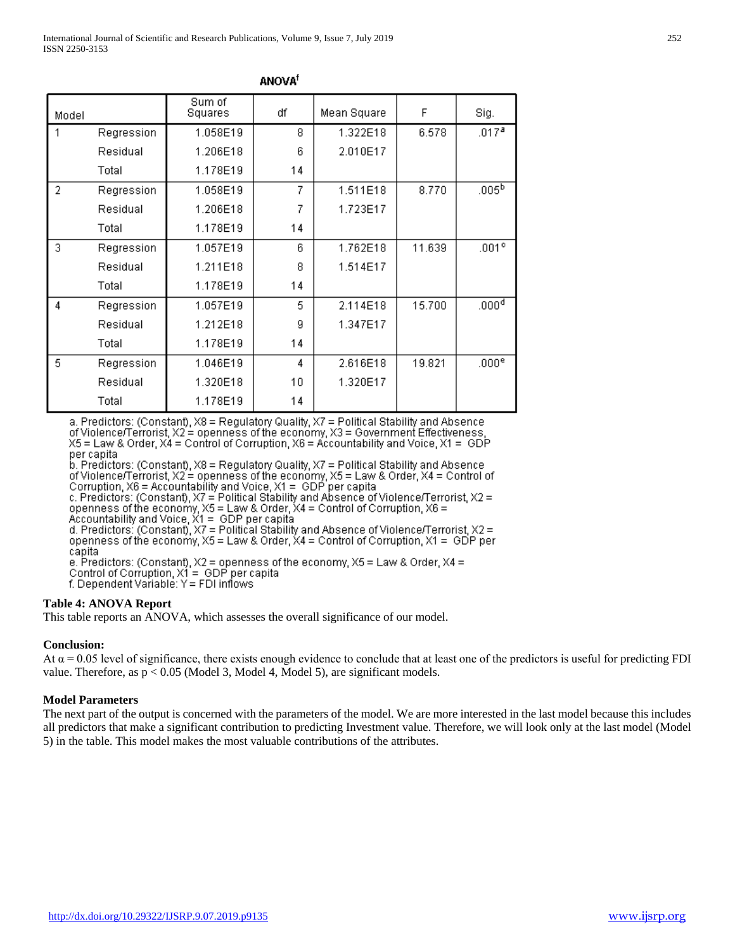| Model |            | Sum of<br>Squares | df | Mean Square | F      | Sig.              |
|-------|------------|-------------------|----|-------------|--------|-------------------|
|       | Regression | 1.058E19          | 8  | 1.322E18    | 6.578  | .017 <sup>a</sup> |
|       | Residual   | 1.206E18          | 6  | 2.010E17    |        |                   |
|       | Total      | 1.178E19          | 14 |             |        |                   |
| 2     | Regression | 1.058E19          | 7  | 1.511E18    | 8.770  | .005 <sup>b</sup> |
|       | Residual   | 1.206E18          | 7  | 1.723E17    |        |                   |
|       | Total      | 1.178E19          | 14 |             |        |                   |
| 3     | Regression | 1.057E19          | 6  | 1.762E18    | 11.639 | .001 <sup>c</sup> |
|       | Residual   | 1.211E18          | 8  | 1.514E17    |        |                   |
|       | Total      | 1.178E19          | 14 |             |        |                   |
| 4     | Regression | 1.057E19          | 5  | 2.114E18    | 15.700 | .000 <sup>d</sup> |
|       | Residual   | 1.212E18          | 9  | 1.347E17    |        |                   |
|       | Total      | 1.178E19          | 14 |             |        |                   |
| 5     | Regression | 1.046E19          | 4  | 2.616E18    | 19.821 | .000 <sup>e</sup> |
|       | Residual   | 1.320E18          | 10 | 1.320E17    |        |                   |
|       | Total      | 1.178E19          | 14 |             |        |                   |

**ANOVA<sup>f</sup>** 

a. Predictors: (Constant), X8 = Regulatory Quality, X7 = Political Stability and Absence of Violence/Terrorist, X2 = openness of the economy, X3 = Government Effectiveness  $X5$  = Law & Order,  $X4$  = Control of Corruption,  $X6$  = Accountability and Voice,  $X1 = GDP$ per capita

 $b$ . Predictors: (Constant), X8 = Regulatory Quality, X7 = Political Stability and Absence of Violence/Terrorist, X2 = openness of the economy, X5 = Law & Order, X4 = Control of<br>Corruption, X6 = Accountability and Voice, X1 = GDP per capita<br>c. Predictors: (Constant), X7 = Political Stability and Absence of Viole

openness of the economy, X5 = Law & Order, X4 = Control of Corruption, X6 =<br>Accountability and Voice, X1 = GDP per capita<br>d. Predictors: (Constant), X7 = Political Stability and Absence of Violence/Terrorist, X2 =

openness of the economy,  $X5 = Law$  & Order,  $XA = Control$  of Corruption,  $X1 = GDP$  per capita

e. Predictors: (Constant),  $X2$  = openness of the economy,  $X5$  = Law & Order,  $X4$  =

Control of Corruption,  $X_1 = GDP$  per capita

f. Dependent Variable: Y = FDI inflows

#### **Table 4: ANOVA Report**

This table reports an ANOVA, which assesses the overall significance of our model.

#### **Conclusion:**

At  $\alpha$  = 0.05 level of significance, there exists enough evidence to conclude that at least one of the predictors is useful for predicting FDI value. Therefore, as  $p < 0.05$  (Model 3, Model 4, Model 5), are significant models.

#### **Model Parameters**

The next part of the output is concerned with the parameters of the model. We are more interested in the last model because this includes all predictors that make a significant contribution to predicting Investment value. Therefore, we will look only at the last model (Model 5) in the table. This model makes the most valuable contributions of the attributes.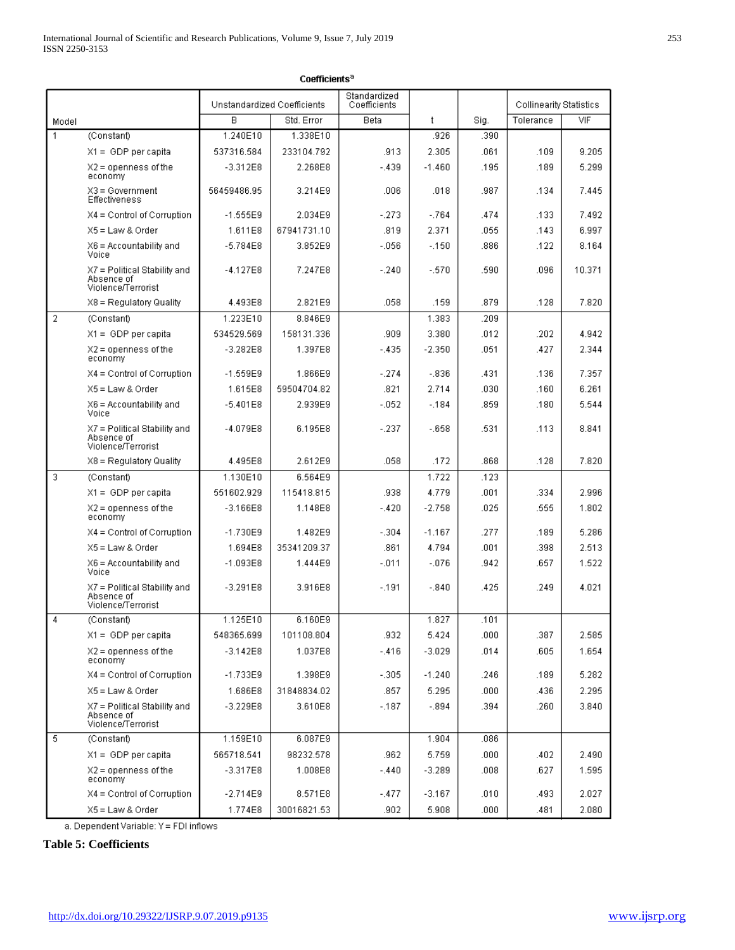|                | Coefficients <sup>a</sup>                                          |                             |             |                              |              |      |                         |        |  |  |  |  |  |
|----------------|--------------------------------------------------------------------|-----------------------------|-------------|------------------------------|--------------|------|-------------------------|--------|--|--|--|--|--|
|                |                                                                    | Unstandardized Coefficients |             | Standardized<br>Coefficients |              |      | Collinearity Statistics |        |  |  |  |  |  |
| Model          |                                                                    | B                           | Std. Error  | Beta                         | $\mathsf{t}$ | Sig. | Tolerance               | VIF    |  |  |  |  |  |
| 1              | (Constant)                                                         | 1.240E10                    | 1.338E10    |                              | .926         | .390 |                         |        |  |  |  |  |  |
|                | $X1 = GDP$ per capita                                              | 537316.584                  | 233104.792  | .913                         | 2.305        | .061 | .109                    | 9.205  |  |  |  |  |  |
|                | $X2 =$ openness of the<br>economy                                  | $-3.312E8$                  | 2.268E8     | $-.439$                      | $-1.460$     | .195 | .189                    | 5.299  |  |  |  |  |  |
|                | $X3 = Government$<br><b>Effectiveness</b>                          | 56459486.95                 | 3.214E9     | .006                         | .018         | .987 | .134                    | 7.445  |  |  |  |  |  |
|                | $X4 =$ Control of Corruption                                       | $-1.555E9$                  | 2.034E9     | $-273$                       | $-.764$      | .474 | .133                    | 7.492  |  |  |  |  |  |
|                | $X5 = Law & Order$                                                 | 1.611E8                     | 67941731.10 | .819                         | 2.371        | .055 | .143                    | 6.997  |  |  |  |  |  |
|                | $X6 =$ Accountability and<br>Voice                                 | $-5.784E8$                  | 3.852E9     | $-0.056$                     | $-150$       | .886 | .122                    | 8.164  |  |  |  |  |  |
|                | $X7 =$ Political Stability and<br>Absence of<br>Violence/Terrorist | -4.127E8                    | 7.247E8     | $-.240$                      | $-.570$      | .590 | .096                    | 10.371 |  |  |  |  |  |
|                | X8 = Regulatory Quality                                            | 4.493E8                     | 2.821E9     | .058                         | .159         | .879 | .128                    | 7.820  |  |  |  |  |  |
| $\overline{2}$ | (Constant)                                                         | 1.223E10                    | 8.846E9     |                              | 1.383        | .209 |                         |        |  |  |  |  |  |
|                | $X1 = GDP$ per capita                                              | 534529.569                  | 158131.336  | .909                         | 3.380        | .012 | .202                    | 4.942  |  |  |  |  |  |
|                | $X2 =$ openness of the<br>economy                                  | $-3.282E8$                  | 1.397E8     | $-.435$                      | $-2.350$     | .051 | .427                    | 2.344  |  |  |  |  |  |
|                | $X4 =$ Control of Corruption                                       | $-1.559E9$                  | 1.866E9     | $-.274$                      | $-.836$      | .431 | .136                    | 7.357  |  |  |  |  |  |
|                | $X5 = Law & Order$                                                 | 1.615E8                     | 59504704.82 | .821                         | 2.714        | .030 | .160                    | 6.261  |  |  |  |  |  |
|                | $X6 =$ Accountability and<br>Voice                                 | $-5.401E8$                  | 2.939E9     | $-052$                       | $-.184$      | .859 | .180                    | 5.544  |  |  |  |  |  |
|                | $X7 =$ Political Stability and<br>Absence of<br>Violence/Terrorist | $-4.079E8$                  | 6.195E8     | $-.237$                      | $-658$       | .531 | .113                    | 8.841  |  |  |  |  |  |
|                | X8 = Regulatory Quality                                            | 4.495E8                     | 2.612E9     | .058                         | .172         | .868 | .128                    | 7.820  |  |  |  |  |  |
| 3              | (Constant)                                                         | 1.130E10                    | 6.564E9     |                              | 1.722        | .123 |                         |        |  |  |  |  |  |
|                | $X1 = GDP$ per capita                                              | 551602.929                  | 115418.815  | .938                         | 4.779        | .001 | .334                    | 2.996  |  |  |  |  |  |
|                | $X2 =$ openness of the<br>economy                                  | $-3.166E8$                  | 1.148E8     | $-.420$                      | $-2.758$     | .025 | .555                    | 1.802  |  |  |  |  |  |
|                | $X4 =$ Control of Corruption                                       | $-1.730E9$                  | 1.482E9     | $-.304$                      | $-1.167$     | .277 | .189                    | 5.286  |  |  |  |  |  |
|                | $X5 =$ Law & Order                                                 | 1.694E8                     | 35341209.37 | .861                         | 4.794        | .001 | .398                    | 2.513  |  |  |  |  |  |
|                | $X6 =$ Accountability and<br>Voice                                 | $-1.093E8$                  | 1.444E9     | $-.011$                      | $-.076$      | .942 | .657                    | 1.522  |  |  |  |  |  |
|                | $X7 =$ Political Stability and<br>Absence of<br>Violence/Terrorist | $-3.291E8$                  | 3.916E8     | $-191$                       | $-.840$      | .425 | .249                    | 4.021  |  |  |  |  |  |
| 4              | (Constant)                                                         | 1.125E10                    | 6.160E9     |                              | 1.827        | .101 |                         |        |  |  |  |  |  |
|                | $X1 = GDP$ per capita                                              | 548365.699                  | 101108.804  | .932                         | 5.424        | .000 | .387                    | 2.585  |  |  |  |  |  |
|                | $X2 =$ openness of the<br>economy                                  | $-3.142E8$                  | 1.037E8     | $-.416$                      | $-3.029$     | .014 | .605                    | 1.654  |  |  |  |  |  |
|                | $X4 =$ Control of Corruption                                       | -1.733E9                    | 1.398E9     | $-.305$                      | $-1.240$     | .246 | .189                    | 5.282  |  |  |  |  |  |
|                | $X5 =$ Law & Order                                                 | 1.686E8                     | 31848834.02 | .857                         | 5.295        | .000 | .436                    | 2.295  |  |  |  |  |  |
|                | X7 = Political Stability and<br>Absence of<br>Violence/Terrorist   | $-3.229E8$                  | 3.610E8     | $-.187$                      | $-.894$      | .394 | .260                    | 3.840  |  |  |  |  |  |
| 5              | (Constant)                                                         | 1.159E10                    | 6.087E9     |                              | 1.904        | .086 |                         |        |  |  |  |  |  |
|                | X1 = GDP per capital                                               | 565718.541                  | 98232.578   | .962                         | 5.759        | .000 | .402                    | 2.490  |  |  |  |  |  |
|                | $X2 =$ openness of the<br>economy                                  | $-3.317E8$                  | 1.008E8     | $-.440$                      | $-3.289$     | .008 | .627                    | 1.595  |  |  |  |  |  |
|                | $X4 =$ Control of Corruption                                       | $-2.714E9$                  | 8.571E8     | $-.477$                      | $-3.167$     | .010 | .493                    | 2.027  |  |  |  |  |  |
|                | X5 = Law & Order                                                   | 1.774E8                     | 30016821.53 | .902                         | 5.908        | .000 | .481                    | 2.080  |  |  |  |  |  |

a. Dependent Variable: Y = FDI inflows

# **Table 5: Coefficients**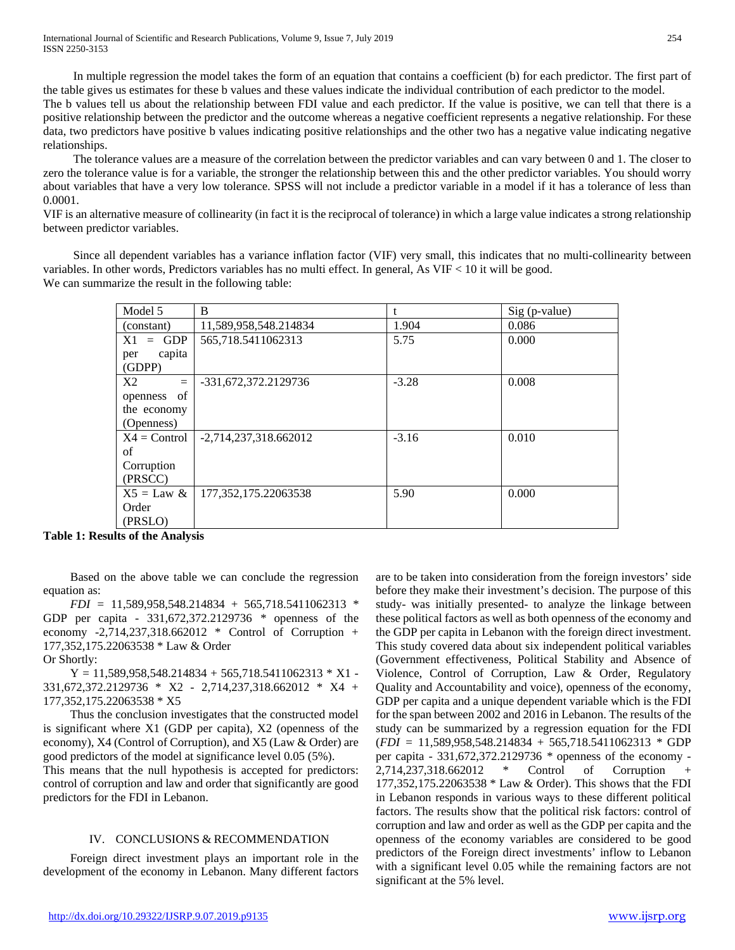In multiple regression the model takes the form of an equation that contains a coefficient (b) for each predictor. The first part of the table gives us estimates for these b values and these values indicate the individual contribution of each predictor to the model.

The b values tell us about the relationship between FDI value and each predictor. If the value is positive, we can tell that there is a positive relationship between the predictor and the outcome whereas a negative coefficient represents a negative relationship. For these data, two predictors have positive b values indicating positive relationships and the other two has a negative value indicating negative relationships.

 The tolerance values are a measure of the correlation between the predictor variables and can vary between 0 and 1. The closer to zero the tolerance value is for a variable, the stronger the relationship between this and the other predictor variables. You should worry about variables that have a very low tolerance. SPSS will not include a predictor variable in a model if it has a tolerance of less than 0.0001.

VIF is an alternative measure of collinearity (in fact it is the reciprocal of tolerance) in which a large value indicates a strong relationship between predictor variables.

 Since all dependent variables has a variance inflation factor (VIF) very small, this indicates that no multi-collinearity between variables. In other words, Predictors variables has no multi effect. In general, As VIF < 10 it will be good. We can summarize the result in the following table:

| Model 5                 | B                       |         | $Sig$ (p-value) |
|-------------------------|-------------------------|---------|-----------------|
| (constant)              | 11,589,958,548.214834   | 1.904   | 0.086           |
| GDP<br>X1<br>$=$        | 565,718.5411062313      | 5.75    | 0.000           |
| capita<br>per<br>(GDPP) |                         |         |                 |
| X2<br>$\equiv$          | -331,672,372.2129736    | $-3.28$ | 0.008           |
| of<br>openness          |                         |         |                 |
| the economy             |                         |         |                 |
| (Openness)              |                         |         |                 |
| $X4 =$ Control          | $-2,714,237,318.662012$ | $-3.16$ | 0.010           |
| of                      |                         |         |                 |
| Corruption              |                         |         |                 |
| (PRSCC)                 |                         |         |                 |
| $X5 = Law &$            | 177, 352, 175. 22063538 | 5.90    | 0.000           |
| Order                   |                         |         |                 |
| (PRSLO)                 |                         |         |                 |

**Table 1: Results of the Analysis**

 Based on the above table we can conclude the regression equation as:

 *FDI =* 11,589,958,548.214834 + 565,718.5411062313 *\** GDP per capita *-* 331,672,372.2129736 *\** openness of the economy -2,714,237,318.662012 \* Control of Corruption + 177,352,175.22063538 \* Law & Order

Or Shortly:

 $Y = 11,589,958,548.214834 + 565,718.5411062313 * X1 -$ 331,672,372.2129736 \* X2 - 2,714,237,318.662012 \* X4 + 177,352,175.22063538 \* X5

 Thus the conclusion investigates that the constructed model is significant where X1 (GDP per capita), X2 (openness of the economy), X4 (Control of Corruption), and X5 (Law & Order) are good predictors of the model at significance level 0.05 (5%).

This means that the null hypothesis is accepted for predictors: control of corruption and law and order that significantly are good predictors for the FDI in Lebanon.

#### IV. CONCLUSIONS & RECOMMENDATION

 Foreign direct investment plays an important role in the development of the economy in Lebanon. Many different factors are to be taken into consideration from the foreign investors' side before they make their investment's decision. The purpose of this study- was initially presented- to analyze the linkage between these political factors as well as both openness of the economy and the GDP per capita in Lebanon with the foreign direct investment. This study covered data about six independent political variables (Government effectiveness, Political Stability and Absence of Violence, Control of Corruption, Law & Order, Regulatory Quality and Accountability and voice), openness of the economy, GDP per capita and a unique dependent variable which is the FDI for the span between 2002 and 2016 in Lebanon. The results of the study can be summarized by a regression equation for the FDI (*FDI =* 11,589,958,548.214834 + 565,718.5411062313 *\** GDP per capita *-* 331,672,372.2129736 *\** openness of the economy - 2,714,237,318.662012 \* Control of Corruption + 177,352,175.22063538 \* Law & Order). This shows that the FDI in Lebanon responds in various ways to these different political factors. The results show that the political risk factors: control of corruption and law and order as well as the GDP per capita and the openness of the economy variables are considered to be good predictors of the Foreign direct investments' inflow to Lebanon with a significant level 0.05 while the remaining factors are not significant at the 5% level.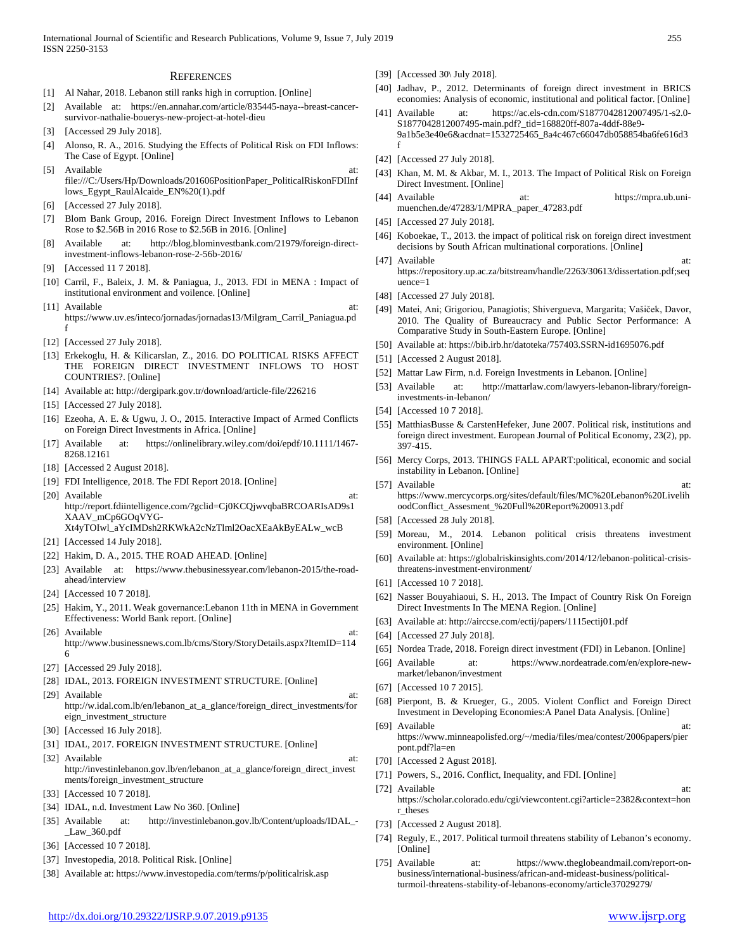#### **REFERENCES**

- [1] Al Nahar, 2018. Lebanon still ranks high in corruption. [Online]
- [2] Available at: https://en.annahar.com/article/835445-naya--breast-cancersurvivor-nathalie-bouerys-new-project-at-hotel-dieu
- [Accessed 29 July 2018].
- [4] Alonso, R. A., 2016. Studying the Effects of Political Risk on FDI Inflows: The Case of Egypt. [Online]
- [5] Available at: file:///C:/Users/Hp/Downloads/201606PositionPaper\_PoliticalRiskonFDIInf lows\_Egypt\_RaulAlcaide\_EN%20(1).pdf
- [6] [Accessed 27 July 2018].
- [7] Blom Bank Group, 2016. Foreign Direct Investment Inflows to Lebanon Rose to \$2.56B in 2016 Rose to \$2.56B in 2016. [Online]
- [8] Available at: http://blog.blominvestbank.com/21979/foreign-directinvestment-inflows-lebanon-rose-2-56b-2016/
- [9] [Accessed 11 7 2018].
- [10] Carril, F., Baleix, J. M. & Paniagua, J., 2013. FDI in MENA : Impact of institutional environment and voilence. [Online]
- [11] Available at: https://www.uv.es/inteco/jornadas/jornadas13/Milgram\_Carril\_Paniagua.pd f
- [12] [Accessed 27 July 2018].
- [13] Erkekoglu, H. & Kilicarslan, Z., 2016. DO POLITICAL RISKS AFFECT THE FOREIGN DIRECT INVESTMENT INFLOWS TO HOST COUNTRIES?. [Online]
- [14] Available at: http://dergipark.gov.tr/download/article-file/226216
- [15] [Accessed 27 July 2018].
- [16] Ezeoha, A. E. & Ugwu, J. O., 2015. Interactive Impact of Armed Conflicts on Foreign Direct Investments in Africa. [Online]
- [17] Available at: https://onlinelibrary.wiley.com/doi/epdf/10.1111/1467- 8268.12161
- [18] [Accessed 2 August 2018].
- [19] FDI Intelligence, 2018. The FDI Report 2018. [Online]
- [20] Available at: http://report.fdiintelligence.com/?gclid=Cj0KCQjwvqbaBRCOARIsAD9s1 XAAV\_mCp6GOqVYG-
	- Xt4yTOIwl\_aYcIMDsh2RKWkA2cNzTlml2OacXEaAkByEALw\_wcB
- [21] [Accessed 14 July 2018].
- [22] Hakim, D. A., 2015. THE ROAD AHEAD. [Online]
- [23] Available at: https://www.thebusinessyear.com/lebanon-2015/the-roadahead/interview
- [24] [Accessed 10 7 2018].
- [25] Hakim, Y., 2011. Weak governance:Lebanon 11th in MENA in Government Effectiveness: World Bank report. [Online]
- [26] Available at: http://www.businessnews.com.lb/cms/Story/StoryDetails.aspx?ItemID=114 6
- [27] [Accessed 29 July 2018].
- [28] IDAL, 2013. FOREIGN INVESTMENT STRUCTURE. [Online]
- [29] Available at: http://w.idal.com.lb/en/lebanon\_at\_a\_glance/foreign\_direct\_investments/for eign\_investment\_structure
- [30] [Accessed 16 July 2018].
- [31] IDAL, 2017. FOREIGN INVESTMENT STRUCTURE. [Online]
- [32] Available at: http://investinlebanon.gov.lb/en/lebanon\_at\_a\_glance/foreign\_direct\_invest ments/foreign\_investment\_structure
- [33] [Accessed 10 7 2018].
- [34] IDAL, n.d. Investment Law No 360. [Online]
- [35] Available at: http://investinlebanon.gov.lb/Content/uploads/IDAL\_-\_Law\_360.pdf
- [36] [Accessed 10 7 2018].
- [37] Investopedia, 2018. Political Risk. [Online]
- [38] Available at: https://www.investopedia.com/terms/p/politicalrisk.asp
- [39] [Accessed 30\ July 2018].
- [40] Jadhav, P., 2012. Determinants of foreign direct investment in BRICS economies: Analysis of economic, institutional and political factor. [Online]
- Available at: https://ac.els-cdn.com/S1877042812007495/1-s2.0-S1877042812007495-main.pdf?\_tid=168820ff-807a-4ddf-88e9- 9a1b5e3e40e6&acdnat=1532725465\_8a4c467c66047db058854ba6fe616d3 f
- [42] [Accessed 27 July 2018].
- [43] Khan, M. M. & Akbar, M. I., 2013. The Impact of Political Risk on Foreign Direct Investment. [Online]
- [44] Available at: https://mpra.ub.unimuenchen.de/47283/1/MPRA\_paper\_47283.pdf
- [45] [Accessed 27 July 2018].
- [46] Koboekae, T., 2013. the impact of political risk on foreign direct investment decisions by South African multinational corporations. [Online] [47] Available at:
- https://repository.up.ac.za/bitstream/handle/2263/30613/dissertation.pdf;seq uence=1
- [48] [Accessed 27 July 2018].
- [49] Matei, Ani; Grigoriou, Panagiotis; Shivergueva, Margarita; Vašiček, Davor, 2010. The Quality of Bureaucracy and Public Sector Performance: A Comparative Study in South-Eastern Europe. [Online]
- [50] Available at: https://bib.irb.hr/datoteka/757403.SSRN-id1695076.pdf
- [51] [Accessed 2 August 2018].
- [52] Mattar Law Firm, n.d. Foreign Investments in Lebanon. [Online]
- [53] Available at: http://mattarlaw.com/lawyers-lebanon-library/foreigninvestments-in-lebanon/
- [54] [Accessed 10 7 2018].
- [55] MatthiasBusse & CarstenHefeker, June 2007. Political risk, institutions and foreign direct investment. European Journal of Political Economy, 23(2), pp. 397-415.
- [56] Mercy Corps, 2013. THINGS FALL APART:political, economic and social instability in Lebanon. [Online]
- [57] Available at: https://www.mercycorps.org/sites/default/files/MC%20Lebanon%20Livelih oodConflict\_Assesment\_%20Full%20Report%200913.pdf
- [58] [Accessed 28 July 2018].
- [59] Moreau, M., 2014. Lebanon political crisis threatens investment environment. [Online]
- [60] Available at: https://globalriskinsights.com/2014/12/lebanon-political-crisisthreatens-investment-environment/
- [61] [Accessed 10 7 2018].
- [62] Nasser Bouyahiaoui, S. H., 2013. The Impact of Country Risk On Foreign Direct Investments In The MENA Region. [Online]
- [63] Available at: http://airccse.com/ectij/papers/1115ectij01.pdf
- [64] [Accessed 27 July 2018].
- [65] Nordea Trade, 2018. Foreign direct investment (FDI) in Lebanon. [Online]
- [66] Available at: https://www.nordeatrade.com/en/explore-newmarket/lebanon/investment
- [67] [Accessed 10 7 2015].
- [68] Pierpont, B. & Krueger, G., 2005. Violent Conflict and Foreign Direct Investment in Developing Economies:A Panel Data Analysis. [Online]
- [69] Available at: https://www.minneapolisfed.org/~/media/files/mea/contest/2006papers/pier pont.pdf?la=en
- [70] [Accessed 2 Agust 2018].
- [71] Powers, S., 2016. Conflict, Inequality, and FDI. [Online]
- [72] Available at: https://scholar.colorado.edu/cgi/viewcontent.cgi?article=2382&context=hon r\_theses
- [73] [Accessed 2 August 2018].
- [74] Reguly, E., 2017. Political turmoil threatens stability of Lebanon's economy. [Online]
- [75] Available at: https://www.theglobeandmail.com/report-onbusiness/international-business/african-and-mideast-business/politicalturmoil-threatens-stability-of-lebanons-economy/article37029279/